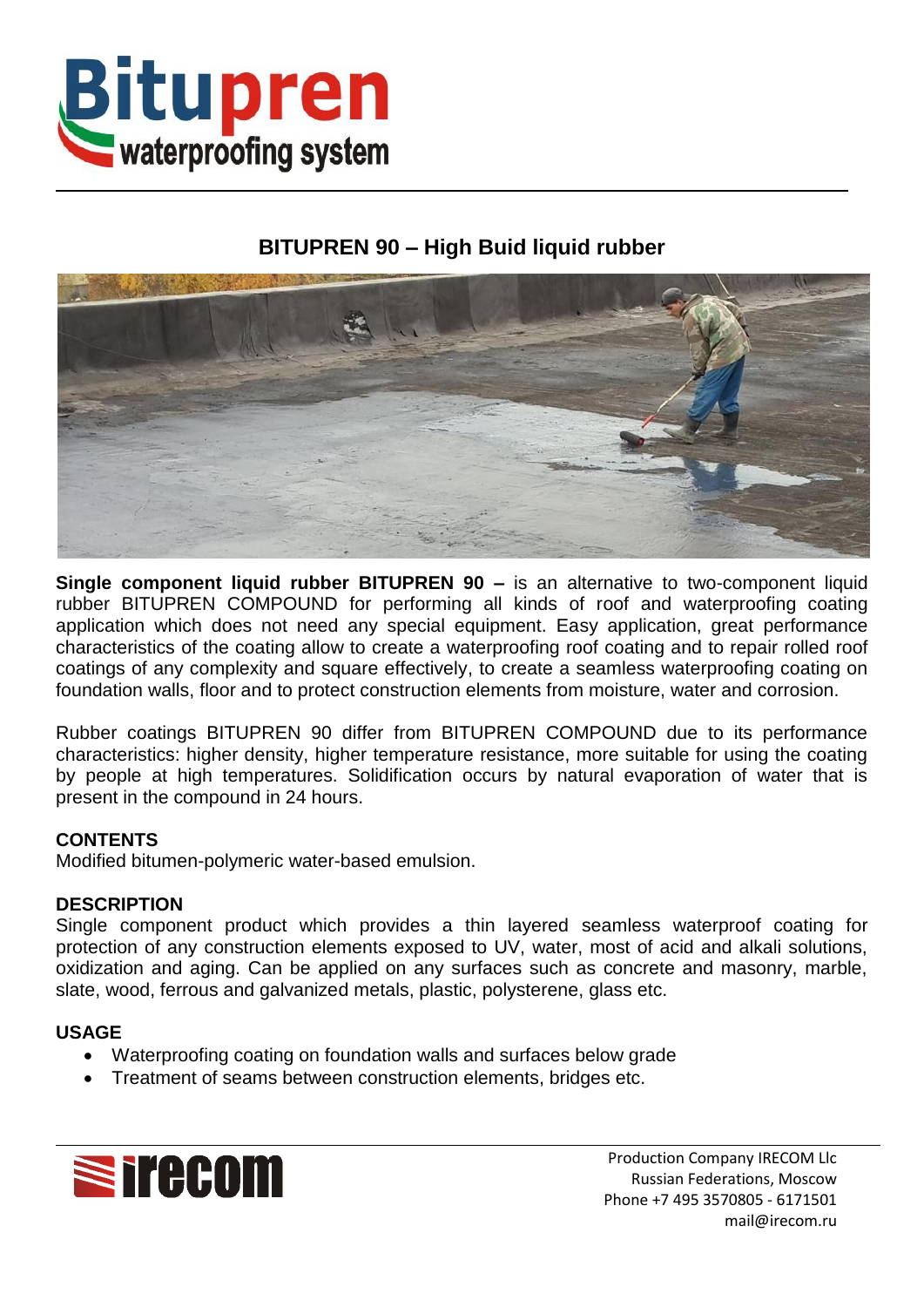

# **BITUPREN 90 – High Buid liquid rubber**



**Single component liquid rubber BITUPREN 90 –** is an alternative to two-component liquid rubber BITUPREN COMPOUND for performing all kinds of roof and waterproofing coating application which does not need any special equipment. Easy application, great performance characteristics of the coating allow to create a waterproofing roof coating and to repair rolled roof coatings of any complexity and square effectively, to create a seamless waterproofing coating on foundation walls, floor and to protect construction elements from moisture, water and corrosion.

Rubber coatings BITUPREN 90 differ from BITUPREN COMPOUND due to its performance characteristics: higher density, higher temperature resistance, more suitable for using the coating by people at high temperatures. Solidification occurs by natural evaporation of water that is present in the compound in 24 hours.

## **CONTENTS**

Modified bitumen-polymeric water-based emulsion.

#### **DESCRIPTION**

Single component product which provides a thin layered seamless waterproof coating for protection of any construction elements exposed to UV, water, most of acid and alkali solutions, oxidization and aging. Can be applied on any surfaces such as concrete and masonry, marble, slate, wood, ferrous and galvanized metals, plastic, polysterene, glass etc.

#### **USAGE**

- Waterproofing coating on foundation walls and surfaces below grade
- Treatment of seams between construction elements, bridges etc.



Production Company IRECOM Llc Russian Federations, Moscow Phone +7 495 3570805 - 6171501 mail@irecom.ru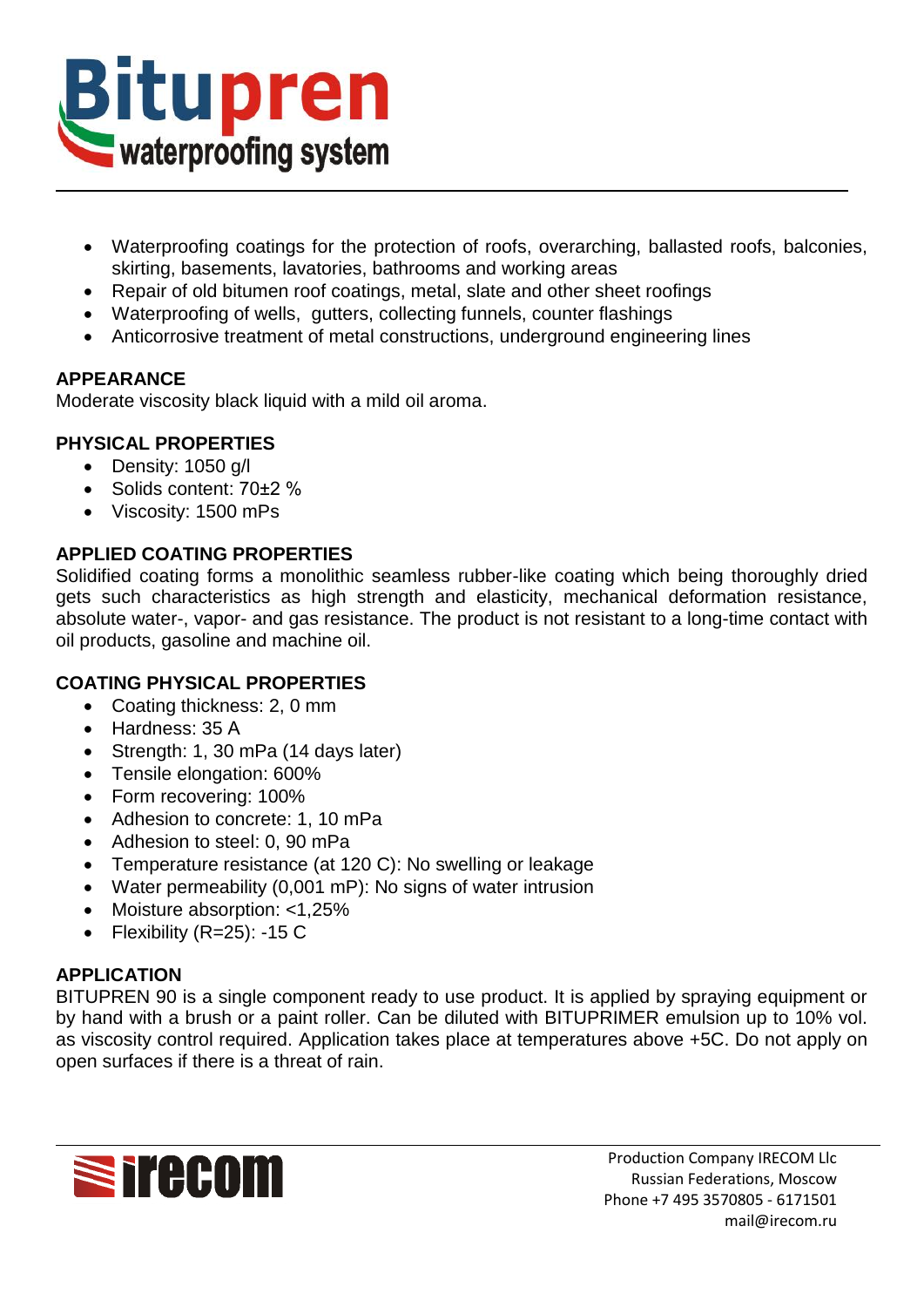

- Waterproofing coatings for the protection of roofs, overarching, ballasted roofs, balconies, skirting, basements, lavatories, bathrooms and working areas
- Repair of old bitumen roof coatings, metal, slate and other sheet roofings
- Waterproofing of wells, gutters, collecting funnels, counter flashings
- Anticorrosive treatment of metal constructions, underground engineering lines

# **APPEARANCE**

Moderate viscosity black liquid with a mild oil aroma.

# **PHYSICAL PROPERTIES**

- Density: 1050 g/l
- Solids content: 70±2 %
- Viscosity: 1500 mPs

## **APPLIED COATING PROPERTIES**

Solidified coating forms a monolithic seamless rubber-like coating which being thoroughly dried gets such characteristics as high strength and elasticity, mechanical deformation resistance, absolute water-, vapor- and gas resistance. The product is not resistant to a long-time contact with oil products, gasoline and machine oil.

## **COATING PHYSICAL PROPERTIES**

- Coating thickness: 2, 0 mm
- Hardness: 35 A
- Strength: 1, 30 mPa (14 days later)
- Tensile elongation: 600%
- Form recovering: 100%
- Adhesion to concrete: 1, 10 mPa
- Adhesion to steel: 0, 90 mPa
- Temperature resistance (at 120 C): No swelling or leakage
- Water permeability (0,001 mP): No signs of water intrusion
- Moisture absorption: <1,25%
- Flexibility  $(R=25)$ : -15 C

## **APPLICATION**

BITUPREN 90 is a single component ready to use product. It is applied by spraying equipment or by hand with a brush or a paint roller. Can be diluted with BITUPRIMER emulsion up to 10% vol. as viscosity control required. Application takes place at temperatures above +5C. Do not apply on open surfaces if there is a threat of rain.

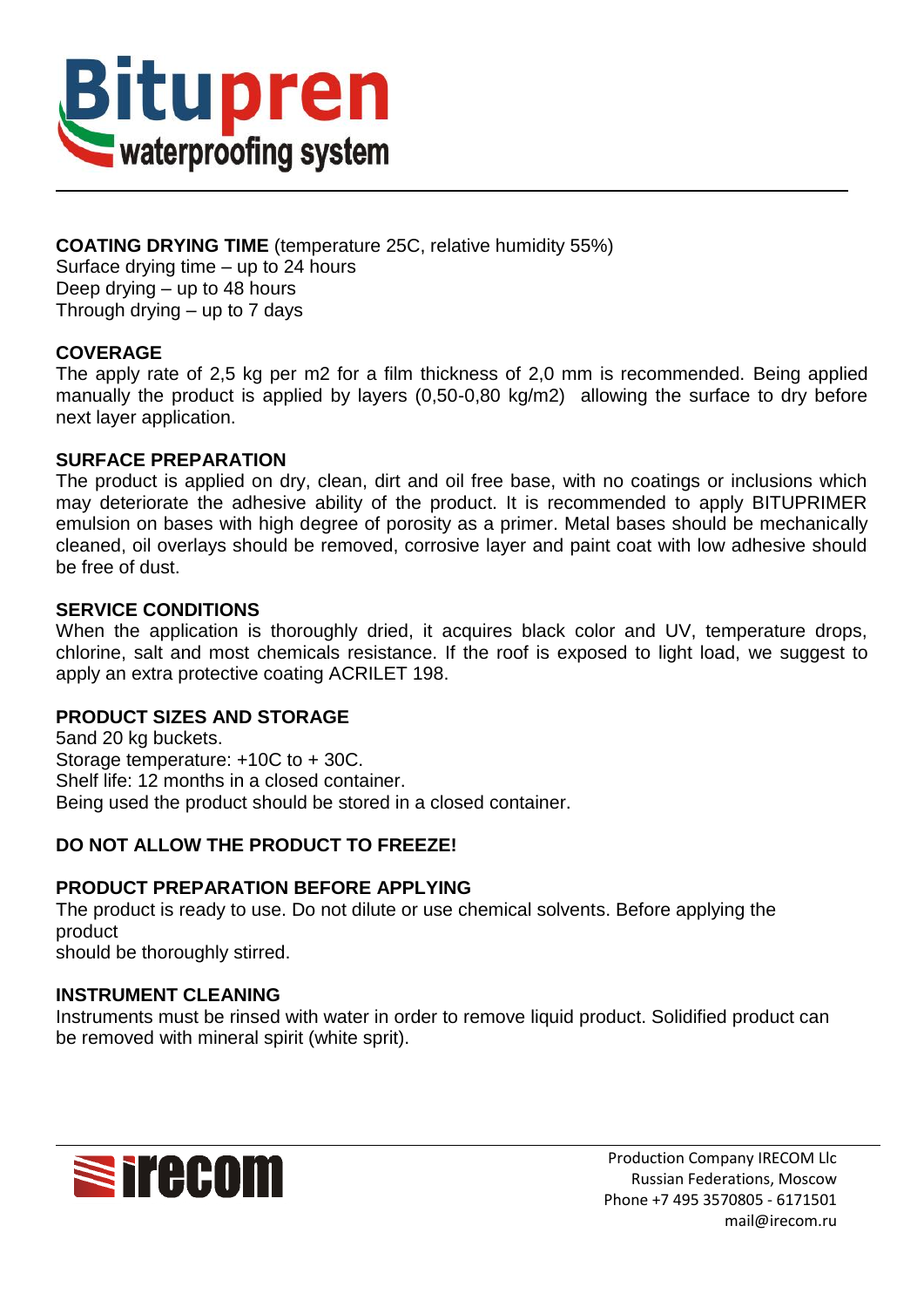

## **COATING DRYING TIME** (temperature 25C, relative humidity 55%) Surface drying time – up to 24 hours Deep drying – up to 48 hours Through drying – up to 7 days

## **COVERAGE**

The apply rate of 2,5 kg per m2 for a film thickness of 2,0 mm is recommended. Being applied manually the product is applied by layers (0,50-0,80 kg/m2) allowing the surface to dry before next layer application.

#### **SURFACE PREPARATION**

The product is applied on dry, clean, dirt and oil free base, with no coatings or inclusions which may deteriorate the adhesive ability of the product. It is recommended to apply BITUPRIMER emulsion on bases with high degree of porosity as a primer. Metal bases should be mechanically cleaned, oil overlays should be removed, corrosive layer and paint coat with low adhesive should be free of dust.

## **SERVICE CONDITIONS**

When the application is thoroughly dried, it acquires black color and UV, temperature drops, chlorine, salt and most chemicals resistance. If the roof is exposed to light load, we suggest to apply an extra protective coating ACRILET 198.

## **PRODUCT SIZES AND STORAGE**

5and 20 kg buckets. Storage temperature: +10C to + 30C. Shelf life: 12 months in a closed container. Being used the product should be stored in a closed container.

## **DO NOT ALLOW THE PRODUCT TO FREEZE!**

## **PRODUCT PREPARATION BEFORE APPLYING**

The product is ready to use. Do not dilute or use chemical solvents. Before applying the product should be thoroughly stirred.

## **INSTRUMENT CLEANING**

Instruments must be rinsed with water in order to remove liquid product. Solidified product can be removed with mineral spirit (white sprit).